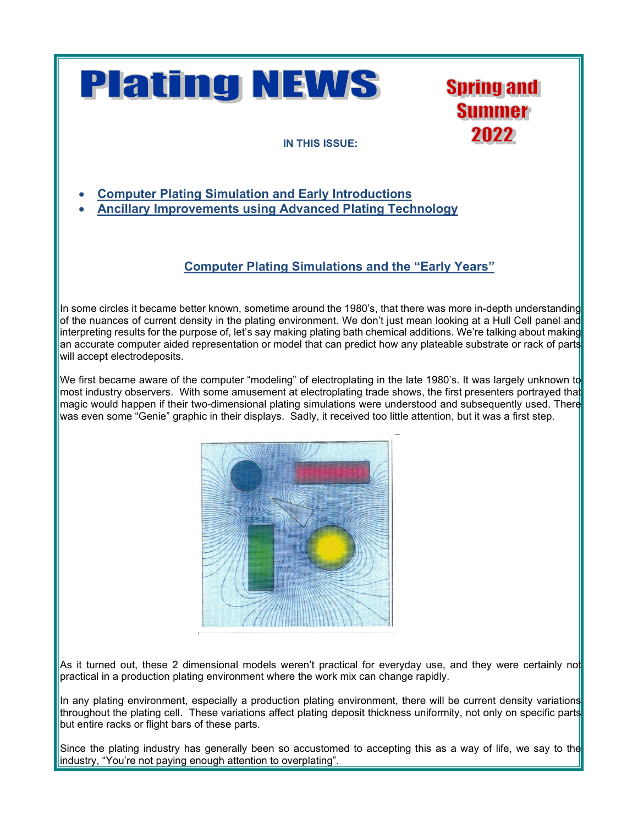

**Spring and Summer** 2022

### **IN THIS ISSUE:**

- **Computer Plating Simulation and Early Introductions**
- **Ancillary Improvements using Advanced Plating Technology**

## **Computer Plating Simulations and the "Early Years"**

In some circles it became better known, sometime around the 1980's, that there was more in-depth understanding of the nuances of current density in the plating environment. We don't just mean looking at a Hull Cell panel and interpreting results for the purpose of, let's say making plating bath chemical additions. We're talking about making an accurate computer aided representation or model that can predict how any plateable substrate or rack of parts will accept electrodeposits.

We first became aware of the computer "modeling" of electroplating in the late 1980's. It was largely unknown to most industry observers. With some amusement at electroplating trade shows, the first presenters portrayed that magic would happen if their two-dimensional plating simulations were understood and subsequently used. There was even some "Genie" graphic in their displays. Sadly, it received too little attention, but it was a first step.



As it turned out, these 2 dimensional models weren't practical for everyday use, and they were certainly not practical in a production plating environment where the work mix can change rapidly.

In any plating environment, especially a production plating environment, there will be current density variations throughout the plating cell. These variations affect plating deposit thickness uniformity, not only on specific parts but entire racks or flight bars of these parts.

Since the plating industry has generally been so accustomed to accepting this as a way of life, we say to the industry, "You're not paying enough attention to overplating".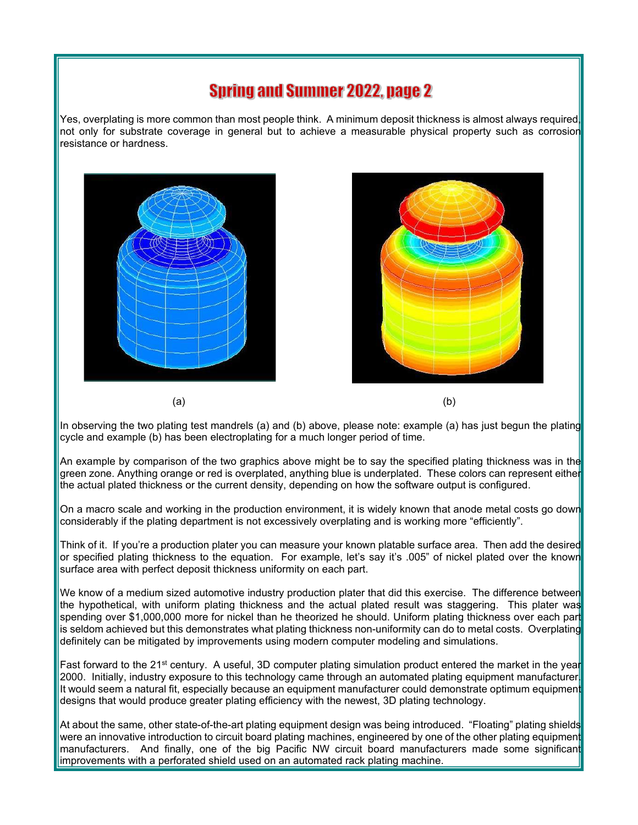## **Spring and Summer 2022, page 2**

Yes, overplating is more common than most people think. A minimum deposit thickness is almost always required, not only for substrate coverage in general but to achieve a measurable physical property such as corrosion resistance or hardness.





In observing the two plating test mandrels (a) and (b) above, please note: example (a) has just begun the plating cycle and example (b) has been electroplating for a much longer period of time.

An example by comparison of the two graphics above might be to say the specified plating thickness was in the green zone. Anything orange or red is overplated, anything blue is underplated. These colors can represent either the actual plated thickness or the current density, depending on how the software output is configured.

On a macro scale and working in the production environment, it is widely known that anode metal costs go down considerably if the plating department is not excessively overplating and is working more "efficiently".

Think of it. If you're a production plater you can measure your known platable surface area. Then add the desired or specified plating thickness to the equation. For example, let's say it's .005" of nickel plated over the known surface area with perfect deposit thickness uniformity on each part.

We know of a medium sized automotive industry production plater that did this exercise. The difference between the hypothetical, with uniform plating thickness and the actual plated result was staggering. This plater was spending over \$1,000,000 more for nickel than he theorized he should. Uniform plating thickness over each par is seldom achieved but this demonstrates what plating thickness non-uniformity can do to metal costs. Overplating definitely can be mitigated by improvements using modern computer modeling and simulations.

Fast forward to the 21<sup>st</sup> century. A useful, 3D computer plating simulation product entered the market in the year 2000. Initially, industry exposure to this technology came through an automated plating equipment manufacturer. It would seem a natural fit, especially because an equipment manufacturer could demonstrate optimum equipment designs that would produce greater plating efficiency with the newest, 3D plating technology.

At about the same, other state-of-the-art plating equipment design was being introduced. "Floating" plating shields were an innovative introduction to circuit board plating machines, engineered by one of the other plating equipment manufacturers. And finally, one of the big Pacific NW circuit board manufacturers made some significant improvements with a perforated shield used on an automated rack plating machine.